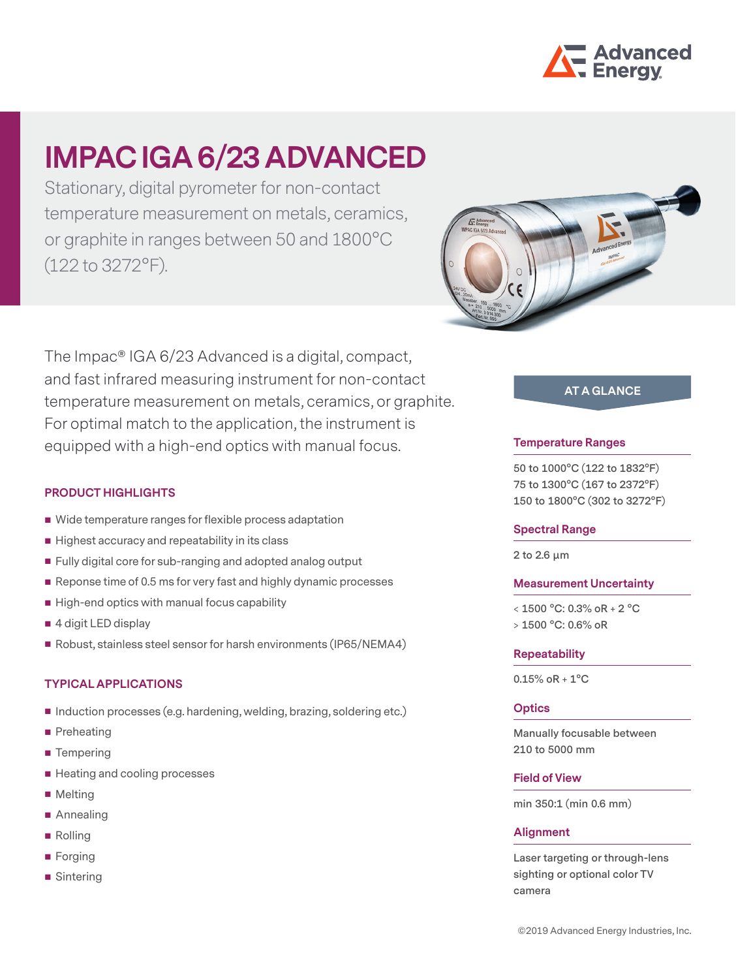

# **IMPAC IGA 6/23 ADVANCED**

Stationary, digital pyrometer for non-contact temperature measurement on metals, ceramics, or graphite in ranges between 50 and 1800°C (122 to 3272°F).

The Impac® IGA 6/23 Advanced is a digital, compact, and fast infrared measuring instrument for non-contact temperature measurement on metals, ceramics, or graphite. For optimal match to the application, the instrument is equipped with a high-end optics with manual focus.

## **PRODUCT HIGHLIGHTS**

- Wide temperature ranges for flexible process adaptation
- $\blacksquare$  Highest accuracy and repeatability in its class
- **Fully digital core for sub-ranging and adopted analog output**
- Reponse time of 0.5 ms for very fast and highly dynamic processes
- $\blacksquare$  High-end optics with manual focus capability
- 4 digit LED display
- Robust, stainless steel sensor for harsh environments (IP65/NEMA4)

## **TYPICAL APPLICATIONS**

- Induction processes (e.g. hardening, welding, brazing, soldering etc.)
- **Preheating**
- Tempering
- Heating and cooling processes
- **Melting**
- Annealing
- Rolling
- **Forging**
- Sintering



# **AT A GLANCE**

### **Temperature Ranges**

**50 to 1000°C (122 to 1832°F) 75 to 1300°C (167 to 2372°F) 150 to 1800°C (302 to 3272°F)**

#### **Spectral Range**

**2 to 2.6 μm**

### **Measurement Uncertainty**

**< 1500 °C: 0.3% oR + 2 °C > 1500 °C: 0.6% oR** 

#### **Repeatability**

**0.15% oR + 1°C**

## **Optics**

**Manually focusable between 210 to 5000 mm**

## **Field of View**

**min 350:1 (min 0.6 mm)**

### **Alignment**

**Laser targeting or through-lens sighting or optional color TV camera**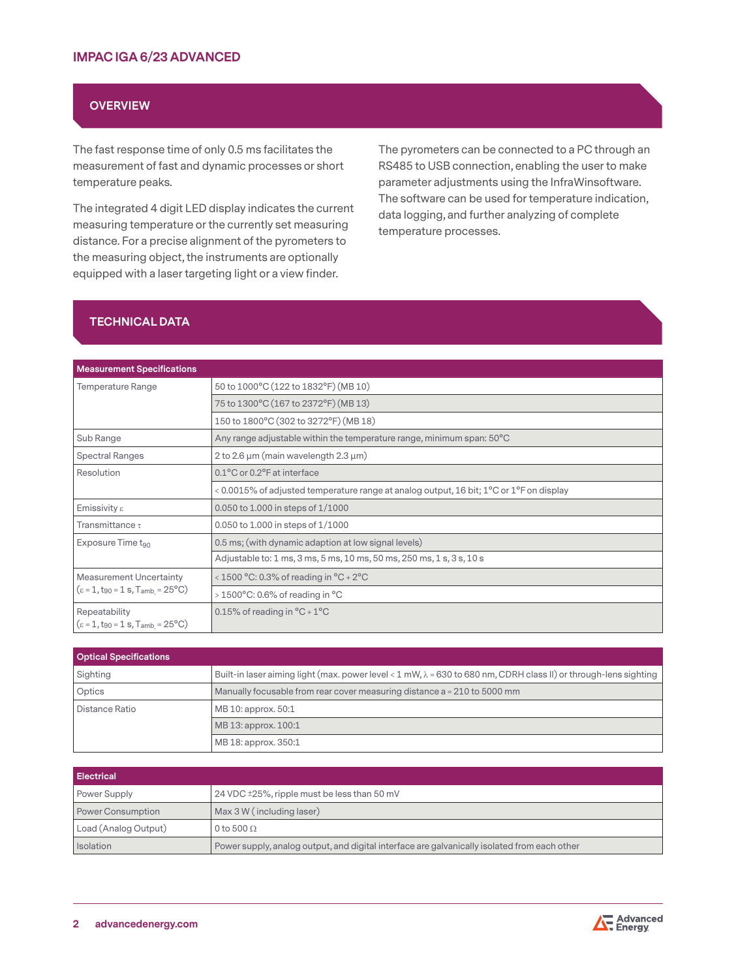## **OVERVIEW**

The fast response time of only 0.5 ms facilitates the measurement of fast and dynamic processes or short temperature peaks.

The integrated 4 digit LED display indicates the current measuring temperature or the currently set measuring distance. For a precise alignment of the pyrometers to the measuring object, the instruments are optionally equipped with a laser targeting light or a view finder.

The pyrometers can be connected to a PC through an RS485 to USB connection, enabling the user to make parameter adjustments using the InfraWinsoftware. The software can be used for temperature indication, data logging, and further analyzing of complete temperature processes.

# **TECHNICAL DATA**

| <b>Measurement Specifications</b>                                                                       |                                                                                                                   |  |
|---------------------------------------------------------------------------------------------------------|-------------------------------------------------------------------------------------------------------------------|--|
| <b>Temperature Range</b>                                                                                | 50 to 1000°C (122 to 1832°F) (MB 10)                                                                              |  |
|                                                                                                         | 75 to 1300°C (167 to 2372°F) (MB 13)                                                                              |  |
|                                                                                                         | 150 to 1800°C (302 to 3272°F) (MB 18)                                                                             |  |
| Sub Range                                                                                               | Any range adjustable within the temperature range, minimum span: 50°C                                             |  |
| <b>Spectral Ranges</b>                                                                                  | 2 to 2.6 $\mu$ m (main wavelength 2.3 $\mu$ m)                                                                    |  |
| Resolution                                                                                              | 0.1°C or 0.2°F at interface                                                                                       |  |
|                                                                                                         | < 0.0015% of adjusted temperature range at analog output, 16 bit; 1 <sup>o</sup> C or 1 <sup>o</sup> F on display |  |
| Emissivity $\varepsilon$                                                                                | 0.050 to 1.000 in steps of 1/1000                                                                                 |  |
| Transmittance $\tau$                                                                                    | 0.050 to 1.000 in steps of 1/1000                                                                                 |  |
| Exposure Time t <sub>90</sub>                                                                           | 0.5 ms; (with dynamic adaption at low signal levels)                                                              |  |
|                                                                                                         | Adjustable to: 1 ms, 3 ms, 5 ms, 10 ms, 50 ms, 250 ms, 1 s, 3 s, 10 s                                             |  |
| <b>Measurement Uncertainty</b><br>$(\epsilon = 1, t_{90} = 1 \text{ s}, T_{amb} = 25^{\circ} \text{C})$ | < 1500 °C: 0.3% of reading in $°C + 2°C$                                                                          |  |
|                                                                                                         | $>1500^{\circ}$ C: 0.6% of reading in $^{\circ}$ C                                                                |  |
| Repeatability<br>$(\epsilon = 1, t_{90} = 1 s, T_{amb} = 25^{\circ}C)$                                  | 0.15% of reading in $^{\circ}$ C + 1 $^{\circ}$ C                                                                 |  |

| <b>Optical Specifications</b> |                                                                                                                          |  |
|-------------------------------|--------------------------------------------------------------------------------------------------------------------------|--|
| Sighting                      | Built-in laser aiming light (max. power level < 1 mW, $\lambda$ = 630 to 680 nm, CDRH class II) or through-lens sighting |  |
| Optics                        | Manually focusable from rear cover measuring distance a = 210 to 5000 mm                                                 |  |
| Distance Ratio                | MB 10: approx. 50:1                                                                                                      |  |
|                               | MB 13: approx. 100:1                                                                                                     |  |
|                               | MB 18: approx. 350:1                                                                                                     |  |

| Electrical           |                                                                                              |
|----------------------|----------------------------------------------------------------------------------------------|
| Power Supply         | 24 VDC ±25%, ripple must be less than 50 mV                                                  |
| Power Consumption    | Max 3 W (including laser)                                                                    |
| Load (Analog Output) | 0 to 500 $\Omega$                                                                            |
| Isolation            | Power supply, analog output, and digital interface are galvanically isolated from each other |

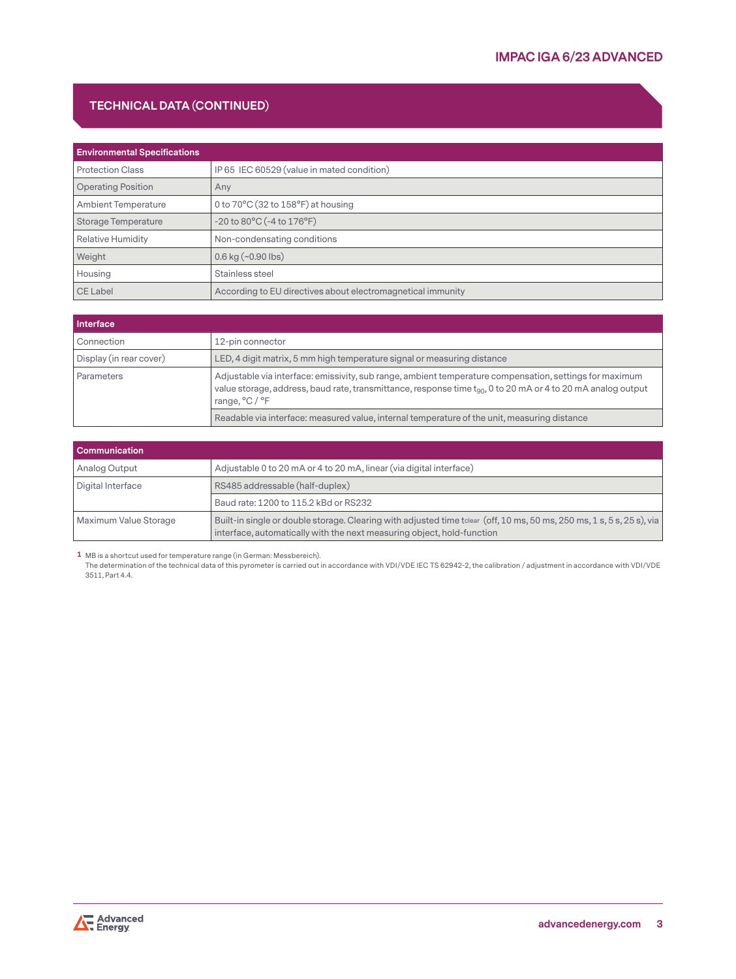# **TECHNICAL DATA (CONTINUED)**

| <b>Environmental Specifications</b> |                                                             |
|-------------------------------------|-------------------------------------------------------------|
| <b>Protection Class</b>             | IP 65 IEC 60529 (value in mated condition)                  |
| <b>Operating Position</b>           | Any                                                         |
| <b>Ambient Temperature</b>          | 0 to $70^{\circ}$ C (32 to $158^{\circ}$ F) at housing      |
| Storage Temperature                 | $-20$ to $80^{\circ}$ C ( $-4$ to $176^{\circ}$ F)          |
| <b>Relative Humidity</b>            | Non-condensating conditions                                 |
| Weight                              | $0.6$ kg (~ $0.90$ lbs)                                     |
| Housing                             | Stainless steel                                             |
| CE Label                            | According to EU directives about electromagnetical immunity |

| Interface               |                                                                                                                                                                                                                                                |  |
|-------------------------|------------------------------------------------------------------------------------------------------------------------------------------------------------------------------------------------------------------------------------------------|--|
| Connection              | 12-pin connector                                                                                                                                                                                                                               |  |
| Display (in rear cover) | LED, 4 digit matrix, 5 mm high temperature signal or measuring distance                                                                                                                                                                        |  |
| Parameters              | Adjustable via interface: emissivity, sub range, ambient temperature compensation, settings for maximum<br>value storage, address, baud rate, transmittance, response time $t_{90}$ , 0 to 20 mA or 4 to 20 mA analog output<br>range, °C / °F |  |
|                         | Readable via interface: measured value, internal temperature of the unit, measuring distance                                                                                                                                                   |  |

| <b>Communication</b>  |                                                                                                                                                                                                  |  |
|-----------------------|--------------------------------------------------------------------------------------------------------------------------------------------------------------------------------------------------|--|
| Analog Output         | Adjustable 0 to 20 mA or 4 to 20 mA, linear (via digital interface)                                                                                                                              |  |
| Digital Interface     | RS485 addressable (half-duplex)                                                                                                                                                                  |  |
|                       | Baud rate: 1200 to 115.2 kBd or RS232                                                                                                                                                            |  |
| Maximum Value Storage | Built-in single or double storage. Clearing with adjusted time tolear (off, 10 ms, 50 ms, 250 ms, 1 s, 5 s, 25 s), via<br>interface, automatically with the next measuring object, hold-function |  |

**1** MB is a shortcut used for temperature range (in German: Messbereich).

The determination of the technical data of this pyrometer is carried out in accordance with VDI/VDE IEC TS 62942-2, the calibration / adjustment in accordance with VDI/VDE 3511, Part 4.4.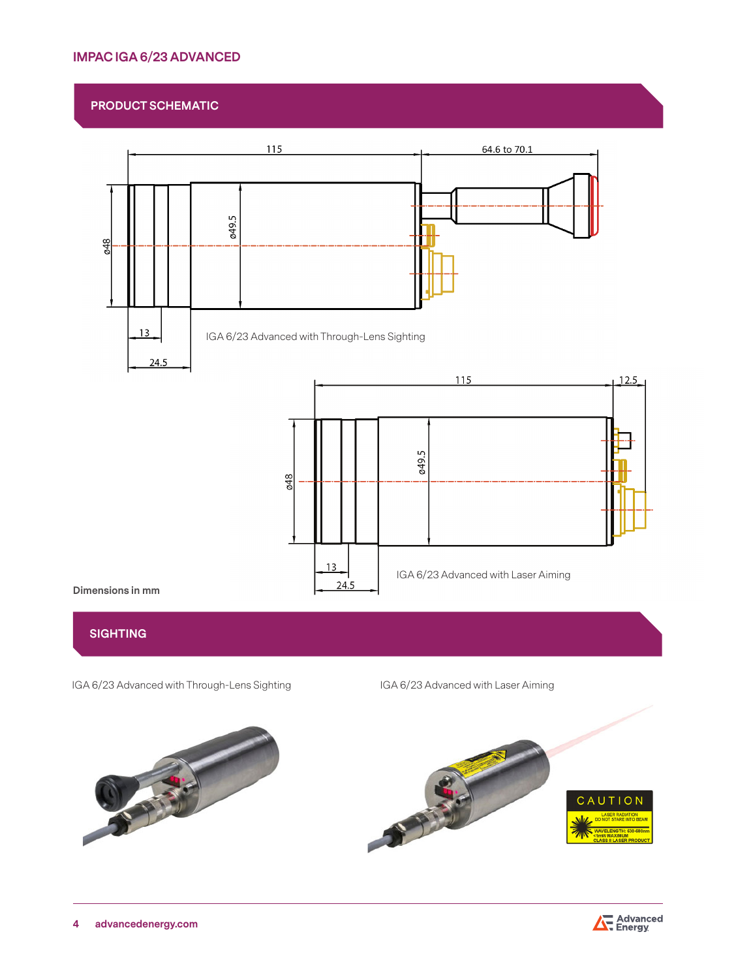# **IMPAC IGA 6/23 ADVANCED**

# **PRODUCT SCHEMATIC**



## **SIGHTING**

IGA 6/23 Advanced with Through-Lens Sighting IGA 6/23 Advanced with Laser Aiming



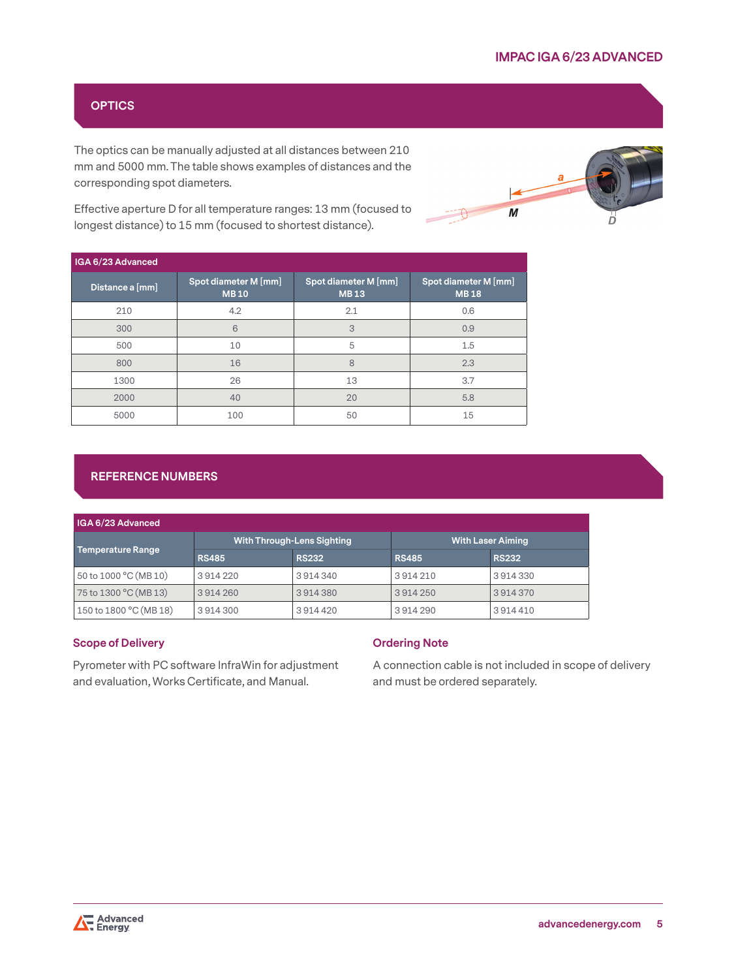# **OPTICS**

The optics can be manually adjusted at all distances between 210 mm and 5000 mm. The table shows examples of distances and the corresponding spot diameters.

 $\boldsymbol{M}$ 

Effective aperture D for all temperature ranges: 13 mm (focused to longest distance) to 15 mm (focused to shortest distance).

| IGA 6/23 Advanced |                                     |                                     |                                     |
|-------------------|-------------------------------------|-------------------------------------|-------------------------------------|
| Distance a [mm]   | Spot diameter M [mm]<br><b>MB10</b> | Spot diameter M [mm]<br><b>MB13</b> | Spot diameter M [mm]<br><b>MB18</b> |
| 210               | 4.2                                 | 2.1                                 | 0.6                                 |
| 300               | 6                                   | 3                                   | 0.9                                 |
| 500               | 10                                  | 5                                   | 1.5                                 |
| 800               | 16                                  | 8                                   | 2.3                                 |
| 1300              | 26                                  | 13                                  | 3.7                                 |
| 2000              | 40                                  | 20                                  | 5.8                                 |
| 5000              | 100                                 | 50                                  | 15                                  |

# **REFERENCE NUMBERS**

| IGA 6/23 Advanced        |                                   |              |                          |              |
|--------------------------|-----------------------------------|--------------|--------------------------|--------------|
| <b>Temperature Range</b> | <b>With Through-Lens Sighting</b> |              | <b>With Laser Aiming</b> |              |
|                          | <b>RS485</b>                      | <b>RS232</b> | <b>RS485</b>             | <b>RS232</b> |
| 50 to 1000 °C (MB 10)    | 3914220                           | 3914340      | 3914210                  | 3914330      |
| 75 to 1300 °C (MB 13)    | 3914260                           | 3914380      | 3914250                  | 3914370      |
| 150 to 1800 °C (MB 18)   | 3914300                           | 3914420      | 3914290                  | 3914410      |

## **Scope of Delivery**

Pyrometer with PC software InfraWin for adjustment and evaluation, Works Certificate, and Manual.

## **Ordering Note**

A connection cable is not included in scope of delivery and must be ordered separately.

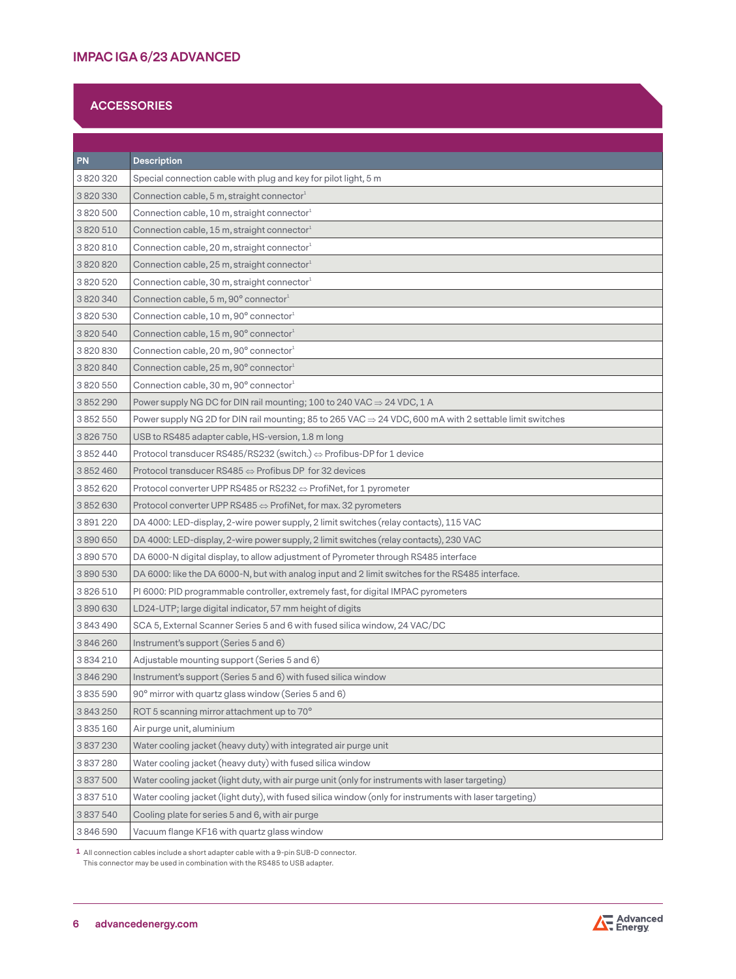# **ACCESSORIES**

| <b>PN</b>     | <b>Description</b>                                                                                                  |
|---------------|---------------------------------------------------------------------------------------------------------------------|
| 3820320       | Special connection cable with plug and key for pilot light, 5 m                                                     |
| 3820330       | Connection cable, 5 m, straight connector $^1$                                                                      |
| 3820500       | Connection cable, 10 m, straight connector <sup>1</sup>                                                             |
| 3820510       | Connection cable, 15 m, straight connector <sup>1</sup>                                                             |
| 3820810       | Connection cable, 20 m, straight connector <sup>1</sup>                                                             |
| 3820820       | Connection cable, 25 m, straight connector <sup>1</sup>                                                             |
| 3820520       | Connection cable, 30 m, straight connector <sup>1</sup>                                                             |
| 3820340       | Connection cable, 5 m, 90° connector <sup>1</sup>                                                                   |
| 3820530       | Connection cable, 10 m, 90° connector1                                                                              |
| 3820540       | Connection cable, 15 m, 90° connector $^{\text{\tiny{\textup{1}}}}$                                                 |
| 3820830       | Connection cable, 20 m, 90° connector1                                                                              |
| 3820840       | Connection cable, 25 m, 90° connector1                                                                              |
| 3820550       | Connection cable, 30 m, 90° connector <sup>1</sup>                                                                  |
| 3852290       | Power supply NG DC for DIN rail mounting; 100 to 240 VAC $\Rightarrow$ 24 VDC, 1 A                                  |
| 3852550       | Power supply NG 2D for DIN rail mounting; 85 to 265 VAC $\Rightarrow$ 24 VDC, 600 mA with 2 settable limit switches |
| 3826750       | USB to RS485 adapter cable, HS-version, 1.8 m long                                                                  |
| 3 852 440     | Protocol transducer RS485/RS232 (switch.) $\Leftrightarrow$ Profibus-DP for 1 device                                |
| 3852460       | Protocol transducer RS485 $\Leftrightarrow$ Profibus DP for 32 devices                                              |
| 3852620       | Protocol converter UPP RS485 or RS232 $\Leftrightarrow$ ProfiNet, for 1 pyrometer                                   |
| 3852630       | Protocol converter UPP RS485 $\Leftrightarrow$ ProfiNet, for max. 32 pyrometers                                     |
| 3891220       | DA 4000: LED-display, 2-wire power supply, 2 limit switches (relay contacts), 115 VAC                               |
| 3890650       | DA 4000: LED-display, 2-wire power supply, 2 limit switches (relay contacts), 230 VAC                               |
| 3890570       | DA 6000-N digital display, to allow adjustment of Pyrometer through RS485 interface                                 |
| 3890530       | DA 6000: like the DA 6000-N, but with analog input and 2 limit switches for the RS485 interface.                    |
| 3826510       | PI 6000: PID programmable controller, extremely fast, for digital IMPAC pyrometers                                  |
| 3890630       | LD24-UTP; large digital indicator, 57 mm height of digits                                                           |
| 3843490       | SCA 5, External Scanner Series 5 and 6 with fused silica window, 24 VAC/DC                                          |
| 3846260       | Instrument's support (Series 5 and 6)                                                                               |
| 3 8 3 4 2 1 0 | Adjustable mounting support (Series 5 and 6)                                                                        |
| 3846290       | Instrument's support (Series 5 and 6) with fused silica window                                                      |
| 3 8 3 5 5 9 0 | 90° mirror with quartz glass window (Series 5 and 6)                                                                |
| 3843250       | ROT 5 scanning mirror attachment up to 70°                                                                          |
| 3835160       | Air purge unit, aluminium                                                                                           |
| 3837230       | Water cooling jacket (heavy duty) with integrated air purge unit                                                    |
| 3837280       | Water cooling jacket (heavy duty) with fused silica window                                                          |
| 3 837 500     | (Water cooling jacket (light duty, with air purge unit (only for instruments with laser targeting                   |
| 3 837 510     | Water cooling jacket (light duty), with fused silica window (only for instruments with laser targeting)             |
| 3 837 540     | Cooling plate for series 5 and 6, with air purge                                                                    |
| 3846590       | Vacuum flange KF16 with quartz glass window                                                                         |

**1** All connection cables include a short adapter cable with a 9-pin SUB-D connector. This connector may be used in combination with the RS485 to USB adapter.

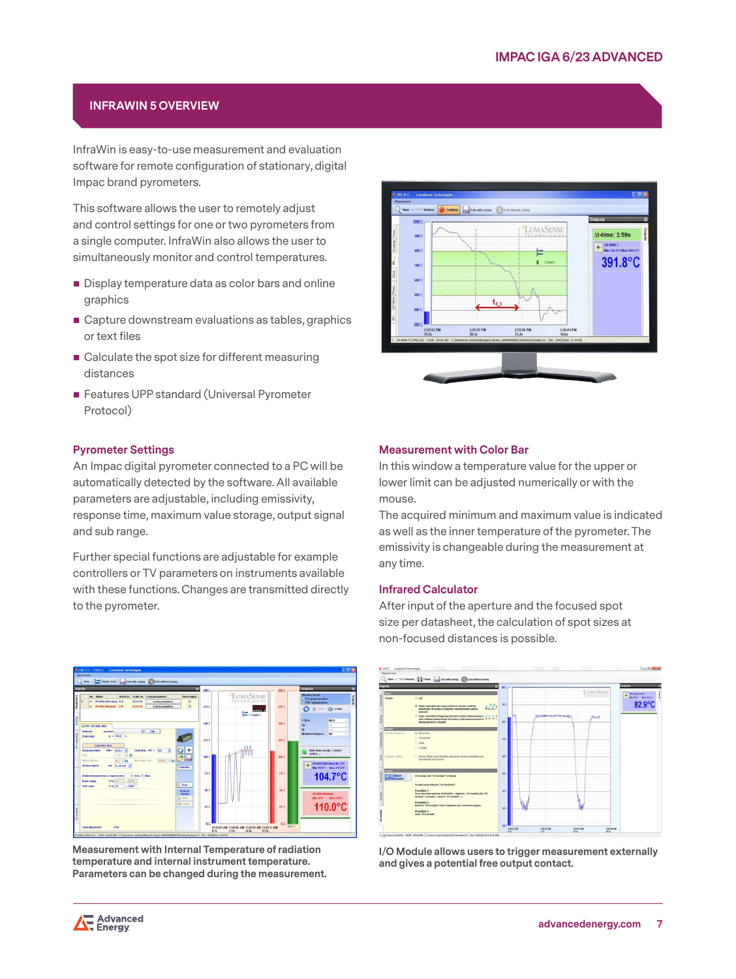## **INFRAWIN 5 OVERVIEW**

InfraWin is easy-to-use measurement and evaluation software for remote configuration of stationary, digital Impac brand pyrometers.

This software allows the user to remotely adjust and control settings for one or two pyrometers from a single computer. InfraWin also allows the user to simultaneously monitor and control temperatures.

- Display temperature data as color bars and online graphics
- Capture downstream evaluations as tables, graphics or text files
- Calculate the spot size for different measuring distances
- **Features UPP standard (Universal Pyrometer** Protocol)

### **Pyrometer Settings**

An Impac digital pyrometer connected to a PC will be automatically detected by the software. All available parameters are adjustable, including emissivity, response time, maximum value storage, output signal and sub range.

Further special functions are adjustable for example controllers or TV parameters on instruments available with these functions. Changes are transmitted directly to the pyrometer.



**Measurement with Internal Temperature of radiation temperature and internal instrument temperature. Parameters can be changed during the measurement.**



#### **Measurement with Color Bar**

In this window a temperature value for the upper or lower limit can be adjusted numerically or with the mouse.

The acquired minimum and maximum value is indicated as well as the inner temperature of the pyrometer. The emissivity is changeable during the measurement at any time.

### **Infrared Calculator**

After input of the aperture and the focused spot size per datasheet, the calculation of spot sizes at non-focused distances is possible.



**I/O Module allows users to trigger measurement externally and gives a potential free output contact.**